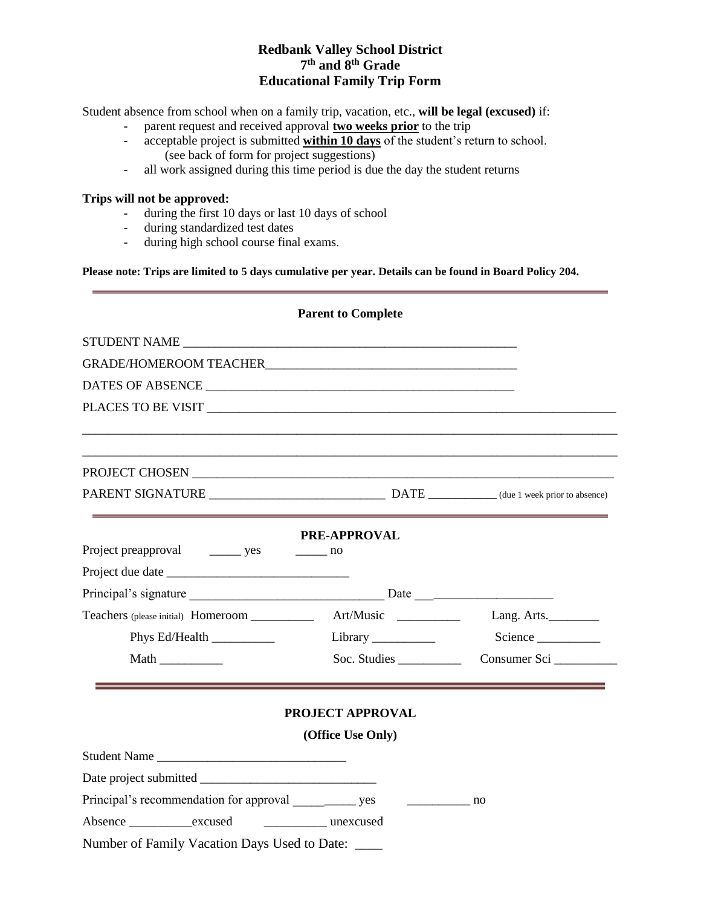## **Redbank Valley School District 7 th and 8th Grade Educational Family Trip Form**

Student absence from school when on a family trip, vacation, etc., **will be legal (excused)** if:

- parent request and received approval **two weeks prior** to the trip
- acceptable project is submitted **within 10 days** of the student's return to school. (see back of form for project suggestions)
- all work assigned during this time period is due the day the student returns

## **Trips will not be approved:**

- during the first 10 days or last 10 days of school
- during standardized test dates
- during high school course final exams.

**Please note: Trips are limited to 5 days cumulative per year. Details can be found in Board Policy 204.**

|                                                                       | <b>Parent to Complete</b>                 |             |
|-----------------------------------------------------------------------|-------------------------------------------|-------------|
|                                                                       |                                           |             |
| <b>GRADE/HOMEROOM TEACHER STATES</b>                                  |                                           |             |
|                                                                       |                                           |             |
|                                                                       |                                           |             |
|                                                                       |                                           |             |
|                                                                       |                                           |             |
|                                                                       | <b>PRE-APPROVAL</b>                       |             |
| Project preapproval _________ yes                                     | $\frac{1}{\sqrt{1-\frac{1}{2}}}\ln 0$     |             |
|                                                                       |                                           |             |
|                                                                       |                                           |             |
| Teachers (please initial) Homeroom _____________ Art/Music __________ |                                           | Lang. Arts. |
| Phys Ed/Health                                                        |                                           | Science     |
|                                                                       | Soc. Studies                              |             |
|                                                                       | PROJECT APPROVAL                          |             |
|                                                                       | (Office Use Only)                         |             |
| Student Name                                                          |                                           |             |
|                                                                       |                                           |             |
| Principal's recommendation for approval ________________ yes          | $\frac{1}{\sqrt{1-\frac{1}{2}}}\text{no}$ |             |
| Absence excused excused unexcused                                     |                                           |             |
| Number of Family Vacation Days Used to Date:                          |                                           |             |